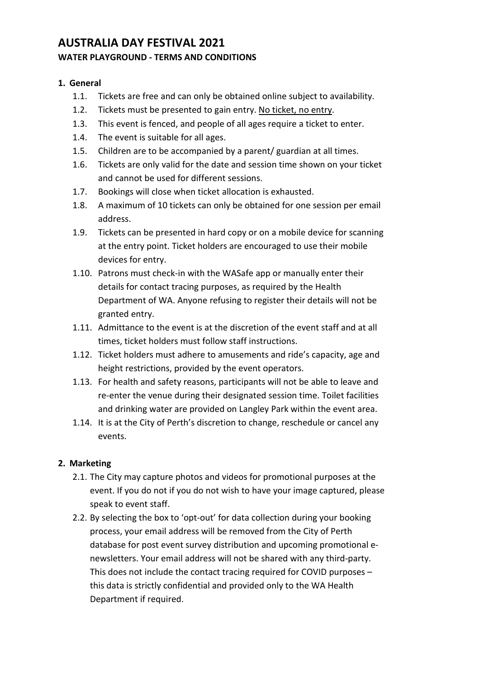# **AUSTRALIA DAY FESTIVAL 2021 WATER PLAYGROUND - TERMS AND CONDITIONS**

#### **1. General**

- 1.1. Tickets are free and can only be obtained online subject to availability.
- 1.2. Tickets must be presented to gain entry. No ticket, no entry.
- 1.3. This event is fenced, and people of all ages require a ticket to enter.
- 1.4. The event is suitable for all ages.
- 1.5. Children are to be accompanied by a parent/ guardian at all times.
- 1.6. Tickets are only valid for the date and session time shown on your ticket and cannot be used for different sessions.
- 1.7. Bookings will close when ticket allocation is exhausted.
- 1.8. A maximum of 10 tickets can only be obtained for one session per email address.
- 1.9. Tickets can be presented in hard copy or on a mobile device for scanning at the entry point. Ticket holders are encouraged to use their mobile devices for entry.
- 1.10. Patrons must check-in with the WASafe app or manually enter their details for contact tracing purposes, as required by the Health Department of WA. Anyone refusing to register their details will not be granted entry.
- 1.11. Admittance to the event is at the discretion of the event staff and at all times, ticket holders must follow staff instructions.
- 1.12. Ticket holders must adhere to amusements and ride's capacity, age and height restrictions, provided by the event operators.
- 1.13. For health and safety reasons, participants will not be able to leave and re-enter the venue during their designated session time. Toilet facilities and drinking water are provided on Langley Park within the event area.
- 1.14. It is at the City of Perth's discretion to change, reschedule or cancel any events.

## **2. Marketing**

- 2.1. The City may capture photos and videos for promotional purposes at the event. If you do not if you do not wish to have your image captured, please speak to event staff.
- 2.2. By selecting the box to 'opt-out' for data collection during your booking process, your email address will be removed from the City of Perth database for post event survey distribution and upcoming promotional enewsletters. Your email address will not be shared with any third-party. This does not include the contact tracing required for COVID purposes – this data is strictly confidential and provided only to the WA Health Department if required.